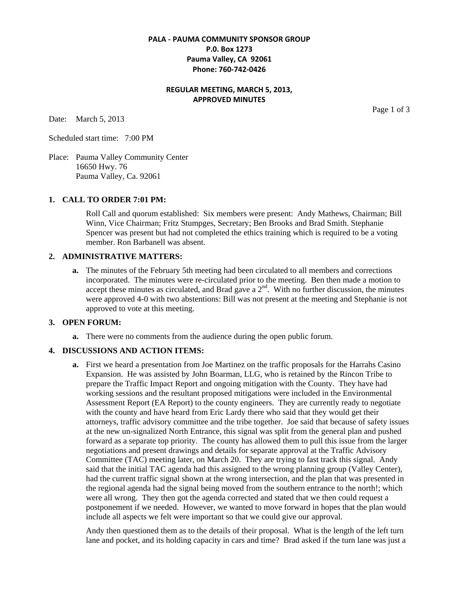# **PALA - PAUMA COMMUNITY SPONSOR GROUP P.0. Box 1273 Pauma Valley, CA 92061 Phone: 760-742-0426**

# **REGULAR MEETING, MARCH 5, 2013, APPROVED MINUTES**

Date: March 5, 2013

Scheduled start time: 7:00 PM

Place: Pauma Valley Community Center 16650 Hwy. 76 Pauma Valley, Ca. 92061

#### **1. CALL TO ORDER 7:01 PM:**

Roll Call and quorum established: Six members were present: Andy Mathews, Chairman; Bill Winn, Vice Chairman; Fritz Stumpges, Secretary; Ben Brooks and Brad Smith. Stephanie Spencer was present but had not completed the ethics training which is required to be a voting member. Ron Barbanell was absent.

## **2. ADMINISTRATIVE MATTERS:**

**a.** The minutes of the February 5th meeting had been circulated to all members and corrections incorporated. The minutes were re-circulated prior to the meeting. Ben then made a motion to accept these minutes as circulated, and Brad gave a  $2<sup>nd</sup>$ . With no further discussion, the minutes were approved 4-0 with two abstentions: Bill was not present at the meeting and Stephanie is not approved to vote at this meeting.

## **3. OPEN FORUM:**

**a.** There were no comments from the audience during the open public forum.

#### **4. DISCUSSIONS AND ACTION ITEMS:**

**a.** First we heard a presentation from Joe Martinez on the traffic proposals for the Harrahs Casino Expansion. He was assisted by John Boarman, LLG, who is retained by the Rincon Tribe to prepare the Traffic Impact Report and ongoing mitigation with the County. They have had working sessions and the resultant proposed mitigations were included in the Environmental Assessment Report (EA Report) to the county engineers. They are currently ready to negotiate with the county and have heard from Eric Lardy there who said that they would get their attorneys, traffic advisory committee and the tribe together. Joe said that because of safety issues at the new un-signalized North Entrance, this signal was split from the general plan and pushed forward as a separate top priority. The county has allowed them to pull this issue from the larger negotiations and present drawings and details for separate approval at the Traffic Advisory Committee (TAC) meeting later, on March 20. They are trying to fast track this signal. Andy said that the initial TAC agenda had this assigned to the wrong planning group (Valley Center), had the current traffic signal shown at the wrong intersection, and the plan that was presented in the regional agenda had the signal being moved from the southern entrance to the north!; which were all wrong. They then got the agenda corrected and stated that we then could request a postponement if we needed. However, we wanted to move forward in hopes that the plan would include all aspects we felt were important so that we could give our approval.

Andy then questioned them as to the details of their proposal. What is the length of the left turn lane and pocket, and its holding capacity in cars and time? Brad asked if the turn lane was just a

Page 1 of 3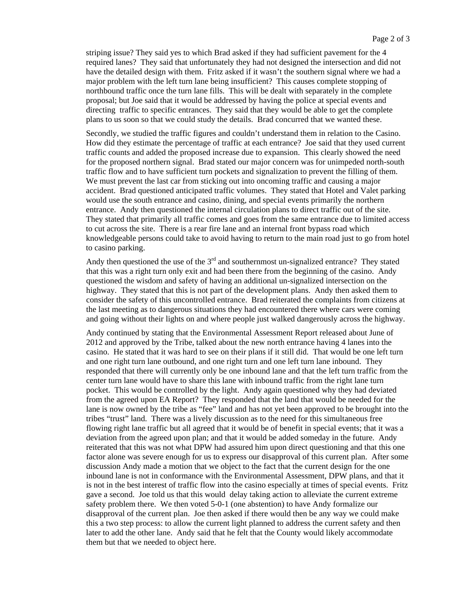striping issue? They said yes to which Brad asked if they had sufficient pavement for the 4 required lanes? They said that unfortunately they had not designed the intersection and did not have the detailed design with them. Fritz asked if it wasn't the southern signal where we had a major problem with the left turn lane being insufficient? This causes complete stopping of northbound traffic once the turn lane fills. This will be dealt with separately in the complete proposal; but Joe said that it would be addressed by having the police at special events and directing traffic to specific entrances. They said that they would be able to get the complete plans to us soon so that we could study the details. Brad concurred that we wanted these.

Secondly, we studied the traffic figures and couldn't understand them in relation to the Casino. How did they estimate the percentage of traffic at each entrance? Joe said that they used current traffic counts and added the proposed increase due to expansion. This clearly showed the need for the proposed northern signal. Brad stated our major concern was for unimpeded north-south traffic flow and to have sufficient turn pockets and signalization to prevent the filling of them. We must prevent the last car from sticking out into oncoming traffic and causing a major accident. Brad questioned anticipated traffic volumes. They stated that Hotel and Valet parking would use the south entrance and casino, dining, and special events primarily the northern entrance. Andy then questioned the internal circulation plans to direct traffic out of the site. They stated that primarily all traffic comes and goes from the same entrance due to limited access to cut across the site. There is a rear fire lane and an internal front bypass road which knowledgeable persons could take to avoid having to return to the main road just to go from hotel to casino parking.

Andy then questioned the use of the  $3<sup>rd</sup>$  and southernmost un-signalized entrance? They stated that this was a right turn only exit and had been there from the beginning of the casino. Andy questioned the wisdom and safety of having an additional un-signalized intersection on the highway. They stated that this is not part of the development plans. Andy then asked them to consider the safety of this uncontrolled entrance. Brad reiterated the complaints from citizens at the last meeting as to dangerous situations they had encountered there where cars were coming and going without their lights on and where people just walked dangerously across the highway.

Andy continued by stating that the Environmental Assessment Report released about June of 2012 and approved by the Tribe, talked about the new north entrance having 4 lanes into the casino. He stated that it was hard to see on their plans if it still did. That would be one left turn and one right turn lane outbound, and one right turn and one left turn lane inbound. They responded that there will currently only be one inbound lane and that the left turn traffic from the center turn lane would have to share this lane with inbound traffic from the right lane turn pocket. This would be controlled by the light. Andy again questioned why they had deviated from the agreed upon EA Report? They responded that the land that would be needed for the lane is now owned by the tribe as "fee" land and has not yet been approved to be brought into the tribes "trust" land. There was a lively discussion as to the need for this simultaneous free flowing right lane traffic but all agreed that it would be of benefit in special events; that it was a deviation from the agreed upon plan; and that it would be added someday in the future. Andy reiterated that this was not what DPW had assured him upon direct questioning and that this one factor alone was severe enough for us to express our disapproval of this current plan. After some discussion Andy made a motion that we object to the fact that the current design for the one inbound lane is not in conformance with the Environmental Assessment, DPW plans, and that it is not in the best interest of traffic flow into the casino especially at times of special events. Fritz gave a second. Joe told us that this would delay taking action to alleviate the current extreme safety problem there. We then voted 5-0-1 (one abstention) to have Andy formalize our disapproval of the current plan. Joe then asked if there would then be any way we could make this a two step process: to allow the current light planned to address the current safety and then later to add the other lane. Andy said that he felt that the County would likely accommodate them but that we needed to object here.